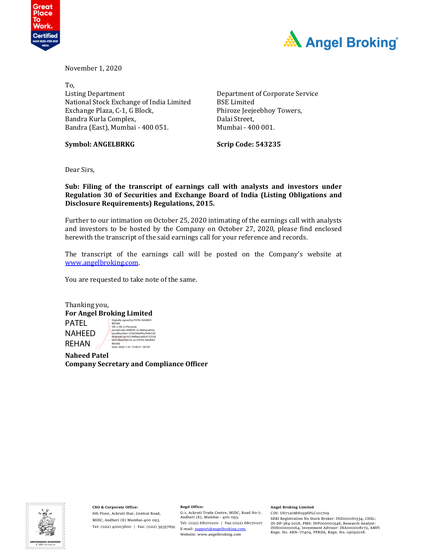



November 1, 2020

To, Listing Department National Stock Exchange of India Limited Exchange Plaza, C-1, G Block, Bandra Kurla Complex, Bandra (East), Mumbai - 400 051.

**Symbol: ANGELBRKG Scrip Code: 543235**

Department of Corporate Service BSE Limited Phiroze Jeejeebhoy Towers, Dalai Street, Mumbai - 400 001.

Dear Sirs,

**Sub: Filing of the transcript of earnings call with analysts and investors under Regulation 30 of Securities and Exchange Board of India (Listing Obligations and Disclosure Requirements) Regulations, 2015.** 

Further to our intimation on October 25, 2020 intimating of the earnings call with analysts and investors to be hosted by the Company on October 27, 2020, please find enclosed herewith the transcript of the said earnings call for your reference and records.

The transcript of the earnings call will be posted on the Company's website at www.angelbroking.com.

You are requested to take note of the same.

Thanking you, **For Angel Broking Limited** PATEL NAHEED REHAN Digitally signed by PATEL NAHEED<br>REHAN<br>DN: c=IN, o=Personal,<br>postalCode=400059, st=Maharashtra,<br>serialNumber=333b54bd95a7b4b720 66364d67a6162749f8eacabfc4132538 e641ebee970e18, cn=PATEL NAHEED REHAN Date: 2020.11.01 13:40:57 +05'30'

**Naheed Patel Company Secretary and Compliance Officer**



**CSO & Corporate Office:** 6th Floor, Ackruti Star, Central Road, MIDC, Andheri (E) Mumbai‐400 093. Tel: (022) 40003600 | Fax: (022) 39357699 E‐mail: support@angelbroking.com,

#### **Regd Office:**

G‐1, Ackruti Trade Centre, MIDC, Road No‐7, Andheri (E), Mumbai ‐ 400 093. Tel: (022) 68070100 | Fax:(022) 68070107 Website: www.angelbroking.com

#### **Angel Broking Limited**

CIN: U67120MH1996PLC101709 SEBI Registration No Stock Broker: INZ000161534, CDSL: IN‐DP‐384‐2018, PMS: INP000001546, Research Analyst: INH000000164, Investment Advisor: INA000008172, AMFI Regn. No. ARN–77404, PFRDA, Regn. No.‐19092018.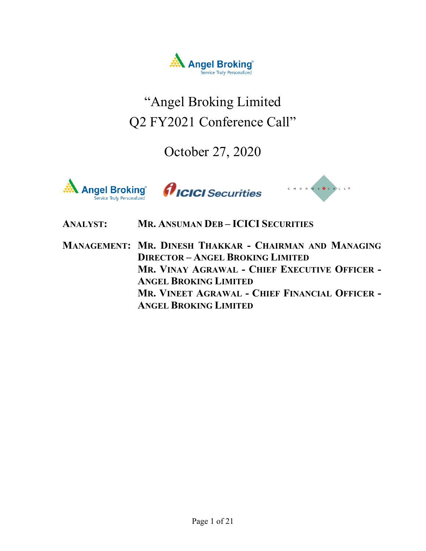

# "Angel Broking Limited Q2 FY2021 Conference Call"

October 27, 2020







## **ANALYST: MR. ANSUMAN DEB – ICICI SECURITIES**

**MANAGEMENT: MR. DINESH THAKKAR - CHAIRMAN AND MANAGING DIRECTOR – ANGEL BROKING LIMITED MR. VINAY AGRAWAL - CHIEF EXECUTIVE OFFICER - ANGEL BROKING LIMITED MR. VINEET AGRAWAL - CHIEF FINANCIAL OFFICER - ANGEL BROKING LIMITED**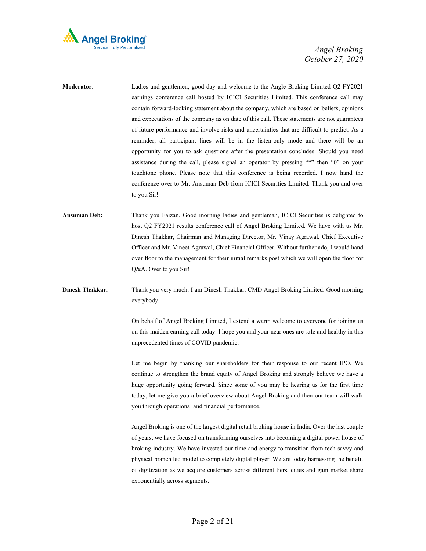

- **Moderator**: Ladies and gentlemen, good day and welcome to the Angle Broking Limited Q2 FY2021 earnings conference call hosted by ICICI Securities Limited. This conference call may contain forward-looking statement about the company, which are based on beliefs, opinions and expectations of the company as on date of this call. These statements are not guarantees of future performance and involve risks and uncertainties that are difficult to predict. As a reminder, all participant lines will be in the listen-only mode and there will be an opportunity for you to ask questions after the presentation concludes. Should you need assistance during the call, please signal an operator by pressing "\*" then "0" on your touchtone phone. Please note that this conference is being recorded. I now hand the conference over to Mr. Ansuman Deb from ICICI Securities Limited. Thank you and over to you Sir!
- **Ansuman Deb:** Thank you Faizan. Good morning ladies and gentleman, ICICI Securities is delighted to host Q2 FY2021 results conference call of Angel Broking Limited. We have with us Mr. Dinesh Thakkar, Chairman and Managing Director, Mr. Vinay Agrawal, Chief Executive Officer and Mr. Vineet Agrawal, Chief Financial Officer. Without further ado, I would hand over floor to the management for their initial remarks post which we will open the floor for Q&A. Over to you Sir!
- **Dinesh Thakkar**: Thank you very much. I am Dinesh Thakkar, CMD Angel Broking Limited. Good morning everybody.

On behalf of Angel Broking Limited, I extend a warm welcome to everyone for joining us on this maiden earning call today. I hope you and your near ones are safe and healthy in this unprecedented times of COVID pandemic.

 Let me begin by thanking our shareholders for their response to our recent IPO. We continue to strengthen the brand equity of Angel Broking and strongly believe we have a huge opportunity going forward. Since some of you may be hearing us for the first time today, let me give you a brief overview about Angel Broking and then our team will walk you through operational and financial performance.

 Angel Broking is one of the largest digital retail broking house in India. Over the last couple of years, we have focused on transforming ourselves into becoming a digital power house of broking industry. We have invested our time and energy to transition from tech savvy and physical branch led model to completely digital player. We are today harnessing the benefit of digitization as we acquire customers across different tiers, cities and gain market share exponentially across segments.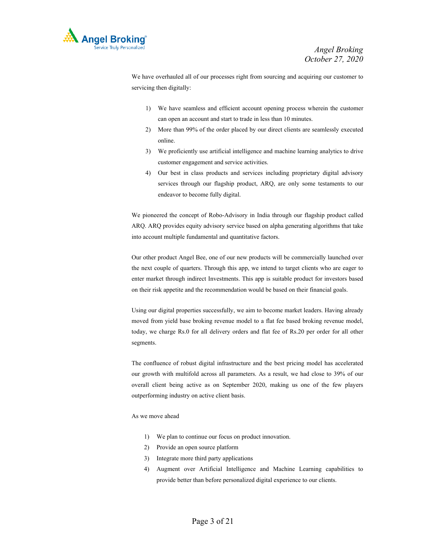

 We have overhauled all of our processes right from sourcing and acquiring our customer to servicing then digitally:

- 1) We have seamless and efficient account opening process wherein the customer can open an account and start to trade in less than 10 minutes.
- 2) More than 99% of the order placed by our direct clients are seamlessly executed online.
- 3) We proficiently use artificial intelligence and machine learning analytics to drive customer engagement and service activities.
- 4) Our best in class products and services including proprietary digital advisory services through our flagship product, ARQ, are only some testaments to our endeavor to become fully digital.

 We pioneered the concept of Robo-Advisory in India through our flagship product called ARQ. ARQ provides equity advisory service based on alpha generating algorithms that take into account multiple fundamental and quantitative factors.

 Our other product Angel Bee, one of our new products will be commercially launched over the next couple of quarters. Through this app, we intend to target clients who are eager to enter market through indirect Investments. This app is suitable product for investors based on their risk appetite and the recommendation would be based on their financial goals.

 Using our digital properties successfully, we aim to become market leaders. Having already moved from yield base broking revenue model to a flat fee based broking revenue model, today, we charge Rs.0 for all delivery orders and flat fee of Rs.20 per order for all other segments.

 The confluence of robust digital infrastructure and the best pricing model has accelerated our growth with multifold across all parameters. As a result, we had close to 39% of our overall client being active as on September 2020, making us one of the few players outperforming industry on active client basis.

#### As we move ahead

- 1) We plan to continue our focus on product innovation.
- 2) Provide an open source platform
- 3) Integrate more third party applications
- 4) Augment over Artificial Intelligence and Machine Learning capabilities to provide better than before personalized digital experience to our clients.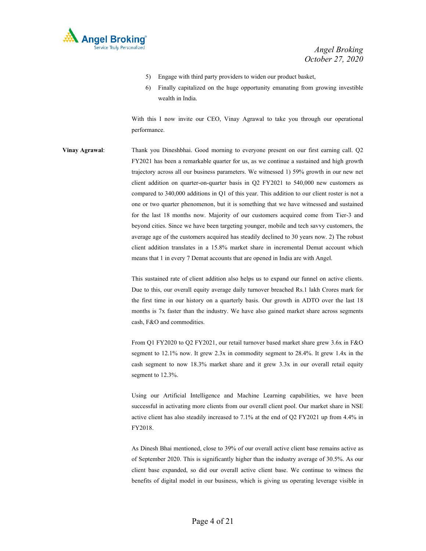

- 5) Engage with third party providers to widen our product basket,
- 6) Finally capitalized on the huge opportunity emanating from growing investible wealth in India.

 With this I now invite our CEO, Vinay Agrawal to take you through our operational performance.

**Vinay Agrawal**: Thank you Dineshbhai. Good morning to everyone present on our first earning call. Q2 FY2021 has been a remarkable quarter for us, as we continue a sustained and high growth trajectory across all our business parameters. We witnessed 1) 59% growth in our new net client addition on quarter-on-quarter basis in Q2 FY2021 to 540,000 new customers as compared to 340,000 additions in Q1 of this year. This addition to our client roster is not a one or two quarter phenomenon, but it is something that we have witnessed and sustained for the last 18 months now. Majority of our customers acquired come from Tier-3 and beyond cities. Since we have been targeting younger, mobile and tech savvy customers, the average age of the customers acquired has steadily declined to 30 years now. 2) The robust client addition translates in a 15.8% market share in incremental Demat account which means that 1 in every 7 Demat accounts that are opened in India are with Angel.

> This sustained rate of client addition also helps us to expand our funnel on active clients. Due to this, our overall equity average daily turnover breached Rs.1 lakh Crores mark for the first time in our history on a quarterly basis. Our growth in ADTO over the last 18 months is 7x faster than the industry. We have also gained market share across segments cash, F&O and commodities.

> From Q1 FY2020 to Q2 FY2021, our retail turnover based market share grew 3.6x in F&O segment to 12.1% now. It grew 2.3x in commodity segment to 28.4%. It grew 1.4x in the cash segment to now 18.3% market share and it grew 3.3x in our overall retail equity segment to 12.3%.

> Using our Artificial Intelligence and Machine Learning capabilities, we have been successful in activating more clients from our overall client pool. Our market share in NSE active client has also steadily increased to 7.1% at the end of Q2 FY2021 up from 4.4% in FY2018.

> As Dinesh Bhai mentioned, close to 39% of our overall active client base remains active as of September 2020. This is significantly higher than the industry average of 30.5%. As our client base expanded, so did our overall active client base. We continue to witness the benefits of digital model in our business, which is giving us operating leverage visible in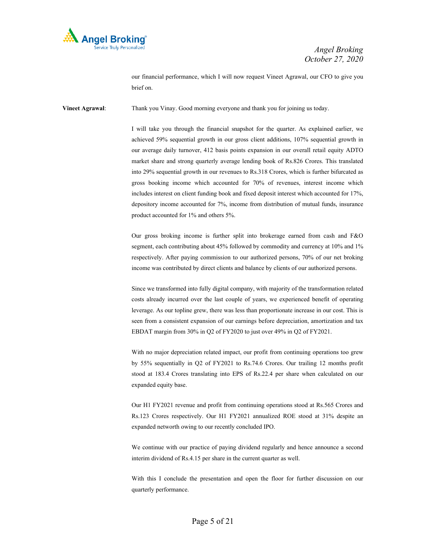

our financial performance, which I will now request Vineet Agrawal, our CFO to give you brief on.

**Vineet Agrawal:** Thank you Vinay. Good morning everyone and thank you for joining us today.

I will take you through the financial snapshot for the quarter. As explained earlier, we achieved 59% sequential growth in our gross client additions, 107% sequential growth in our average daily turnover, 412 basis points expansion in our overall retail equity ADTO market share and strong quarterly average lending book of Rs.826 Crores. This translated into 29% sequential growth in our revenues to Rs.318 Crores, which is further bifurcated as gross booking income which accounted for 70% of revenues, interest income which includes interest on client funding book and fixed deposit interest which accounted for 17%, depository income accounted for 7%, income from distribution of mutual funds, insurance product accounted for 1% and others 5%.

 Our gross broking income is further split into brokerage earned from cash and F&O segment, each contributing about 45% followed by commodity and currency at 10% and 1% respectively. After paying commission to our authorized persons, 70% of our net broking income was contributed by direct clients and balance by clients of our authorized persons.

 Since we transformed into fully digital company, with majority of the transformation related costs already incurred over the last couple of years, we experienced benefit of operating leverage. As our topline grew, there was less than proportionate increase in our cost. This is seen from a consistent expansion of our earnings before depreciation, amortization and tax EBDAT margin from 30% in Q2 of FY2020 to just over 49% in Q2 of FY2021.

 With no major depreciation related impact, our profit from continuing operations too grew by 55% sequentially in Q2 of FY2021 to Rs.74.6 Crores. Our trailing 12 months profit stood at 183.4 Crores translating into EPS of Rs.22.4 per share when calculated on our expanded equity base.

 Our H1 FY2021 revenue and profit from continuing operations stood at Rs.565 Crores and Rs.123 Crores respectively. Our H1 FY2021 annualized ROE stood at 31% despite an expanded networth owing to our recently concluded IPO.

 We continue with our practice of paying dividend regularly and hence announce a second interim dividend of Rs.4.15 per share in the current quarter as well.

 With this I conclude the presentation and open the floor for further discussion on our quarterly performance.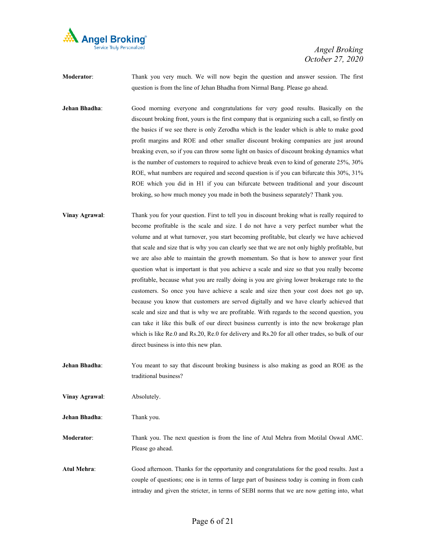

**Moderator**: Thank you very much. We will now begin the question and answer session. The first question is from the line of Jehan Bhadha from Nirmal Bang. Please go ahead.

**Jehan Bhadha:** Good morning everyone and congratulations for very good results. Basically on the discount broking front, yours is the first company that is organizing such a call, so firstly on the basics if we see there is only Zerodha which is the leader which is able to make good profit margins and ROE and other smaller discount broking companies are just around breaking even, so if you can throw some light on basics of discount broking dynamics what is the number of customers to required to achieve break even to kind of generate 25%, 30% ROE, what numbers are required and second question is if you can bifurcate this 30%, 31% ROE which you did in H1 if you can bifurcate between traditional and your discount broking, so how much money you made in both the business separately? Thank you.

**Vinay Agrawal**: Thank you for your question. First to tell you in discount broking what is really required to become profitable is the scale and size. I do not have a very perfect number what the volume and at what turnover, you start becoming profitable, but clearly we have achieved that scale and size that is why you can clearly see that we are not only highly profitable, but we are also able to maintain the growth momentum. So that is how to answer your first question what is important is that you achieve a scale and size so that you really become profitable, because what you are really doing is you are giving lower brokerage rate to the customers. So once you have achieve a scale and size then your cost does not go up, because you know that customers are served digitally and we have clearly achieved that scale and size and that is why we are profitable. With regards to the second question, you can take it like this bulk of our direct business currently is into the new brokerage plan which is like Re.0 and Rs.20, Re.0 for delivery and Rs.20 for all other trades, so bulk of our direct business is into this new plan.

**Jehan Bhadha**: You meant to say that discount broking business is also making as good an ROE as the traditional business?

**Vinay Agrawal**: Absolutely.

**Jehan Bhadha**: Thank you.

**Moderator**: Thank you. The next question is from the line of Atul Mehra from Motilal Oswal AMC. Please go ahead.

**Atul Mehra**: Good afternoon. Thanks for the opportunity and congratulations for the good results. Just a couple of questions; one is in terms of large part of business today is coming in from cash intraday and given the stricter, in terms of SEBI norms that we are now getting into, what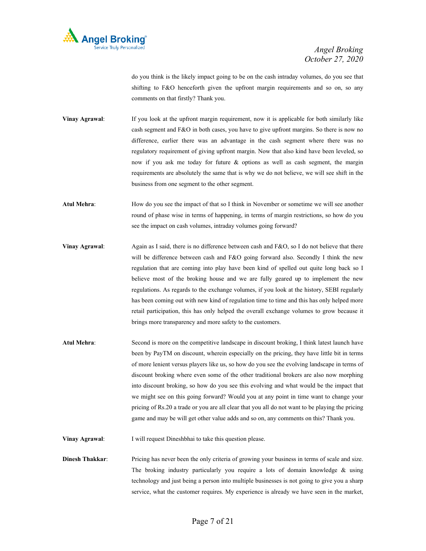

do you think is the likely impact going to be on the cash intraday volumes, do you see that shifting to F&O henceforth given the upfront margin requirements and so on, so any comments on that firstly? Thank you.

**Vinay Agrawal:** If you look at the upfront margin requirement, now it is applicable for both similarly like cash segment and F&O in both cases, you have to give upfront margins. So there is now no difference, earlier there was an advantage in the cash segment where there was no regulatory requirement of giving upfront margin. Now that also kind have been leveled, so now if you ask me today for future & options as well as cash segment, the margin requirements are absolutely the same that is why we do not believe, we will see shift in the business from one segment to the other segment.

Atul Mehra: How do you see the impact of that so I think in November or sometime we will see another round of phase wise in terms of happening, in terms of margin restrictions, so how do you see the impact on cash volumes, intraday volumes going forward?

- **Vinay Agrawal:** Again as I said, there is no difference between cash and F&O, so I do not believe that there will be difference between cash and F&O going forward also. Secondly I think the new regulation that are coming into play have been kind of spelled out quite long back so I believe most of the broking house and we are fully geared up to implement the new regulations. As regards to the exchange volumes, if you look at the history, SEBI regularly has been coming out with new kind of regulation time to time and this has only helped more retail participation, this has only helped the overall exchange volumes to grow because it brings more transparency and more safety to the customers.
- **Atul Mehra**: Second is more on the competitive landscape in discount broking, I think latest launch have been by PayTM on discount, wherein especially on the pricing, they have little bit in terms of more lenient versus players like us, so how do you see the evolving landscape in terms of discount broking where even some of the other traditional brokers are also now morphing into discount broking, so how do you see this evolving and what would be the impact that we might see on this going forward? Would you at any point in time want to change your pricing of Rs.20 a trade or you are all clear that you all do not want to be playing the pricing game and may be will get other value adds and so on, any comments on this? Thank you.

**Vinay Agrawal:** I will request Dineshbhai to take this question please.

**Dinesh Thakkar**: Pricing has never been the only criteria of growing your business in terms of scale and size. The broking industry particularly you require a lots of domain knowledge & using technology and just being a person into multiple businesses is not going to give you a sharp service, what the customer requires. My experience is already we have seen in the market,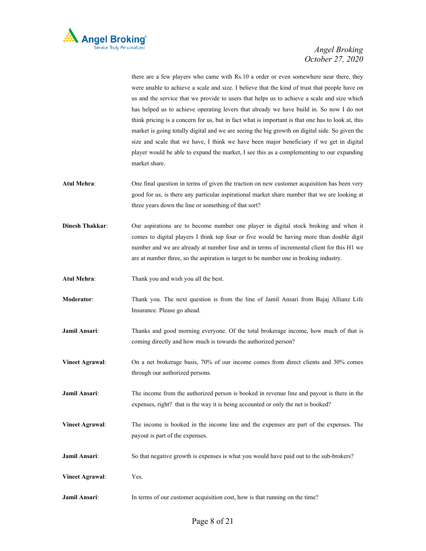

there are a few players who came with Rs.10 a order or even somewhere near there, they were unable to achieve a scale and size. I believe that the kind of trust that people have on us and the service that we provide to users that helps us to achieve a scale and size which has helped us to achieve operating levers that already we have build in. So now I do not think pricing is a concern for us, but in fact what is important is that one has to look at, this market is going totally digital and we are seeing the big growth on digital side. So given the size and scale that we have, I think we have been major beneficiary if we get in digital player would be able to expand the market, I see this as a complementing to our expanding market share.

- **Atul Mehra**: One final question in terms of given the traction on new customer acquisition has been very good for us, is there any particular aspirational market share number that we are looking at three years down the line or something of that sort?
- **Dinesh Thakkar**: Our aspirations are to become number one player in digital stock broking and when it comes to digital players I think top four or five would be having more than double digit number and we are already at number four and in terms of incremental client for this H1 we are at number three, so the aspiration is target to be number one in broking industry.
- **Atul Mehra**: Thank you and wish you all the best.
- **Moderator**: Thank you. The next question is from the line of Jamil Ansari from Bajaj Allianz Life Insurance. Please go ahead.
- **Jamil Ansari**: Thanks and good morning everyone. Of the total brokerage income, how much of that is coming directly and how much is towards the authorized person?
- **Vineet Agrawal**: On a net brokerage basis, 70% of our income comes from direct clients and 30% comes through our authorized persons.
- **Jamil Ansari**: The income from the authorized person is booked in revenue line and payout is there in the expenses, right? that is the way it is being accounted or only the net is booked?
- **Vineet Agrawal**: The income is booked in the income line and the expenses are part of the expenses. The payout is part of the expenses.
- **Jamil Ansari:** So that negative growth is expenses is what you would have paid out to the sub-brokers?
- **Vineet Agrawal**: Yes.
- **Jamil Ansari:** In terms of our customer acquisition cost, how is that running on the time?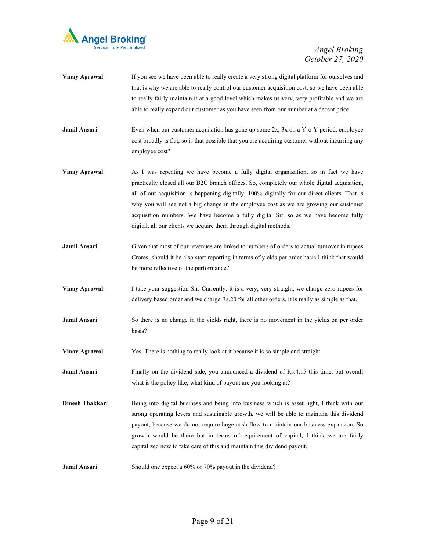

- **Vinay Agrawal:** If you see we have been able to really create a very strong digital platform for ourselves and that is why we are able to really control our customer acquisition cost, so we have been able to really fairly maintain it at a good level which makes us very, very profitable and we are able to really expand our customer as you have seen from our number at a decent price.
- **Jamil Ansari:** Even when our customer acquisition has gone up some 2x, 3x on a Y-o-Y period, employee cost broadly is flat, so is that possible that you are acquiring customer without incurring any employee cost?
- **Vinay Agrawal:** As I was repeating we have become a fully digital organization, so in fact we have practically closed all our B2C branch offices. So, completely our whole digital acquisition, all of our acquisition is happening digitally, 100% digitally for our direct clients. That is why you will see not a big change in the employee cost as we are growing our customer acquisition numbers. We have become a fully digital Sir, so as we have become fully digital, all our clients we acquire them through digital methods.
- **Jamil Ansari:** Given that most of our revenues are linked to numbers of orders to actual turnover in rupees Crores, should it be also start reporting in terms of yields per order basis I think that would be more reflective of the performance?
- **Vinay Agrawal**: I take your suggestion Sir. Currently, it is a very, very straight, we charge zero rupees for delivery based order and we charge Rs.20 for all other orders, it is really as simple as that.
- **Jamil Ansari:** So there is no change in the yields right, there is no movement in the yields on per order basis?
- **Vinay Agrawal:** Yes. There is nothing to really look at it because it is so simple and straight.
- **Jamil Ansari:** Finally on the dividend side, you announced a dividend of Rs.4.15 this time, but overall what is the policy like, what kind of payout are you looking at?
- **Dinesh Thakkar:** Being into digital business and being into business which is asset light, I think with our strong operating levers and sustainable growth, we will be able to maintain this dividend payout, because we do not require huge cash flow to maintain our business expansion. So growth would be there but in terms of requirement of capital, I think we are fairly capitalized now to take care of this and maintain this dividend payout.
- **Jamil Ansari:** Should one expect a 60% or 70% payout in the dividend?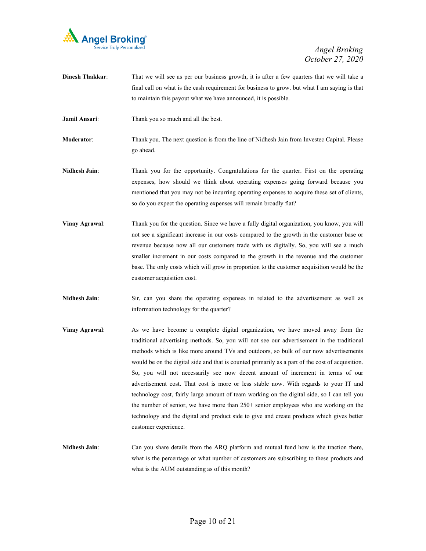

- **Dinesh Thakkar:** That we will see as per our business growth, it is after a few quarters that we will take a final call on what is the cash requirement for business to grow. but what I am saying is that to maintain this payout what we have announced, it is possible.
- **Jamil Ansari**: Thank you so much and all the best.

**Moderator**: Thank you. The next question is from the line of Nidhesh Jain from Investec Capital. Please go ahead.

- **Nidhesh Jain:** Thank you for the opportunity. Congratulations for the quarter. First on the operating expenses, how should we think about operating expenses going forward because you mentioned that you may not be incurring operating expenses to acquire these set of clients, so do you expect the operating expenses will remain broadly flat?
- **Vinay Agrawal:** Thank you for the question. Since we have a fully digital organization, you know, you will not see a significant increase in our costs compared to the growth in the customer base or revenue because now all our customers trade with us digitally. So, you will see a much smaller increment in our costs compared to the growth in the revenue and the customer base. The only costs which will grow in proportion to the customer acquisition would be the customer acquisition cost.
- **Nidhesh Jain**: Sir, can you share the operating expenses in related to the advertisement as well as information technology for the quarter?
- **Vinay Agrawal**: As we have become a complete digital organization, we have moved away from the traditional advertising methods. So, you will not see our advertisement in the traditional methods which is like more around TVs and outdoors, so bulk of our now advertisements would be on the digital side and that is counted primarily as a part of the cost of acquisition. So, you will not necessarily see now decent amount of increment in terms of our advertisement cost. That cost is more or less stable now. With regards to your IT and technology cost, fairly large amount of team working on the digital side, so I can tell you the number of senior, we have more than 250+ senior employees who are working on the technology and the digital and product side to give and create products which gives better customer experience.
- **Nidhesh Jain**: Can you share details from the ARQ platform and mutual fund how is the traction there, what is the percentage or what number of customers are subscribing to these products and what is the AUM outstanding as of this month?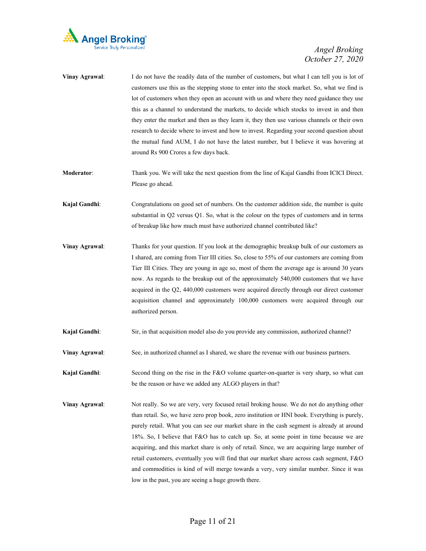

| Vinay Agrawal:        | I do not have the readily data of the number of customers, but what I can tell you is lot of<br>customers use this as the stepping stone to enter into the stock market. So, what we find is<br>lot of customers when they open an account with us and where they need guidance they use<br>this as a channel to understand the markets, to decide which stocks to invest in and then<br>they enter the market and then as they learn it, they then use various channels or their own<br>research to decide where to invest and how to invest. Regarding your second question about<br>the mutual fund AUM, I do not have the latest number, but I believe it was hovering at<br>around Rs 900 Crores a few days back. |
|-----------------------|------------------------------------------------------------------------------------------------------------------------------------------------------------------------------------------------------------------------------------------------------------------------------------------------------------------------------------------------------------------------------------------------------------------------------------------------------------------------------------------------------------------------------------------------------------------------------------------------------------------------------------------------------------------------------------------------------------------------|
| <b>Moderator:</b>     | Thank you. We will take the next question from the line of Kajal Gandhi from ICICI Direct.<br>Please go ahead.                                                                                                                                                                                                                                                                                                                                                                                                                                                                                                                                                                                                         |
| Kajal Gandhi:         | Congratulations on good set of numbers. On the customer addition side, the number is quite<br>substantial in Q2 versus Q1. So, what is the colour on the types of customers and in terms<br>of breakup like how much must have authorized channel contributed like?                                                                                                                                                                                                                                                                                                                                                                                                                                                    |
| <b>Vinay Agrawal:</b> | Thanks for your question. If you look at the demographic breakup bulk of our customers as<br>I shared, are coming from Tier III cities. So, close to 55% of our customers are coming from<br>Tier III Cities. They are young in age so, most of them the average age is around 30 years<br>now. As regards to the breakup out of the approximately 540,000 customers that we have<br>acquired in the Q2, 440,000 customers were acquired directly through our direct customer<br>acquisition channel and approximately 100,000 customers were acquired through our<br>authorized person.                                                                                                                               |
| Kajal Gandhi:         | Sir, in that acquisition model also do you provide any commission, authorized channel?                                                                                                                                                                                                                                                                                                                                                                                                                                                                                                                                                                                                                                 |
| <b>Vinay Agrawal:</b> | See, in authorized channel as I shared, we share the revenue with our business partners.                                                                                                                                                                                                                                                                                                                                                                                                                                                                                                                                                                                                                               |
| Kajal Gandhi:         | Second thing on the rise in the F&O volume quarter-on-quarter is very sharp, so what can<br>be the reason or have we added any ALGO players in that?                                                                                                                                                                                                                                                                                                                                                                                                                                                                                                                                                                   |
| <b>Vinay Agrawal:</b> | Not really. So we are very, very focused retail broking house. We do not do anything other<br>T N T 1 1 T                                                                                                                                                                                                                                                                                                                                                                                                                                                                                                                                                                                                              |

than retail. So, we have zero prop book, zero institution or HNI book. Everything is purely, purely retail. What you can see our market share in the cash segment is already at around 18%. So, I believe that F&O has to catch up. So, at some point in time because we are acquiring, and this market share is only of retail. Since, we are acquiring large number of retail customers, eventually you will find that our market share across cash segment, F&O and commodities is kind of will merge towards a very, very similar number. Since it was low in the past, you are seeing a huge growth there.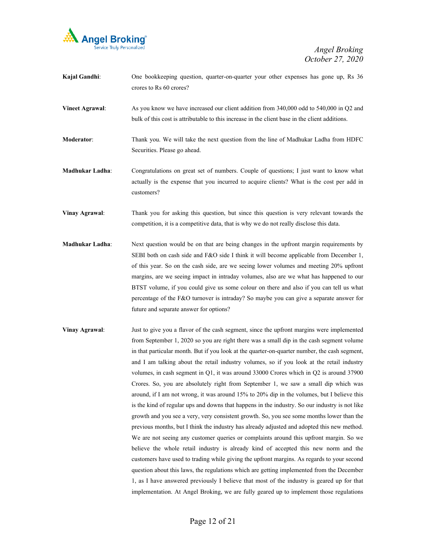

| Kajal Gandhi:          | One bookkeeping question, quarter-on-quarter your other expenses has gone up, Rs 36<br>crores to Rs 60 crores?                                                                                    |
|------------------------|---------------------------------------------------------------------------------------------------------------------------------------------------------------------------------------------------|
| <b>Vineet Agrawal:</b> | As you know we have increased our client addition from 340,000 odd to 540,000 in Q2 and<br>bulk of this cost is attributable to this increase in the client base in the client additions.         |
| <b>Moderator:</b>      | Thank you. We will take the next question from the line of Madhukar Ladha from HDFC<br>Securities. Please go ahead.                                                                               |
| <b>Madhukar Ladha:</b> | Congratulations on great set of numbers. Couple of questions; I just want to know what<br>actually is the expense that you incurred to acquire clients? What is the cost per add in<br>customers? |
| Vinay Agrawal:         | Thank you for asking this question, but since this question is very relevant towards the<br>competition, it is a competitive data, that is why we do not really disclose this data.               |

- **Madhukar Ladha**: Next question would be on that are being changes in the upfront margin requirements by SEBI both on cash side and F&O side I think it will become applicable from December 1, of this year. So on the cash side, are we seeing lower volumes and meeting 20% upfront margins, are we seeing impact in intraday volumes, also are we what has happened to our BTST volume, if you could give us some colour on there and also if you can tell us what percentage of the F&O turnover is intraday? So maybe you can give a separate answer for future and separate answer for options?
- **Vinay Agrawal**: Just to give you a flavor of the cash segment, since the upfront margins were implemented from September 1, 2020 so you are right there was a small dip in the cash segment volume in that particular month. But if you look at the quarter-on-quarter number, the cash segment, and I am talking about the retail industry volumes, so if you look at the retail industry volumes, in cash segment in Q1, it was around 33000 Crores which in Q2 is around 37900 Crores. So, you are absolutely right from September 1, we saw a small dip which was around, if I am not wrong, it was around 15% to 20% dip in the volumes, but I believe this is the kind of regular ups and downs that happens in the industry. So our industry is not like growth and you see a very, very consistent growth. So, you see some months lower than the previous months, but I think the industry has already adjusted and adopted this new method. We are not seeing any customer queries or complaints around this upfront margin. So we believe the whole retail industry is already kind of accepted this new norm and the customers have used to trading while giving the upfront margins. As regards to your second question about this laws, the regulations which are getting implemented from the December 1, as I have answered previously I believe that most of the industry is geared up for that implementation. At Angel Broking, we are fully geared up to implement those regulations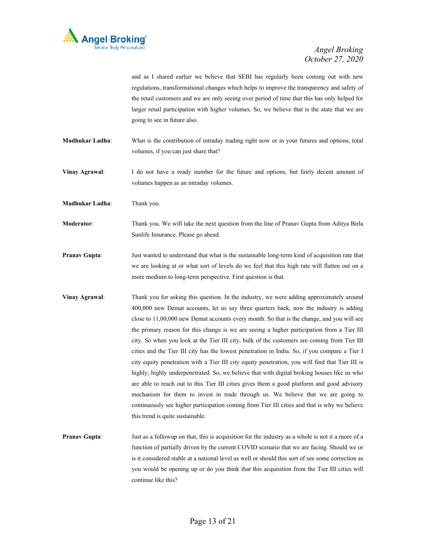

and as I shared earlier we believe that SEBI has regularly been coming out with new regulations, transformational changes which helps to improve the transparency and safety of the retail customers and we are only seeing over period of time that this has only helped for larger retail participation with higher volumes. So, we believe that is the state that we are going to see in future also.

**Madhukar Ladha**: What is the contribution of intraday trading right now or in your futures and options, total volumes, if you can just share that?

**Vinay Agrawal**: I do not have a ready number for the future and options, but fairly decent amount of volumes happen as an intraday volumes.

**Madhukar Ladha**: Thank you.

**Moderator**: Thank you. We will take the next question from the line of Pranav Gupta from Aditya Birla Sunlife Insurance. Please go ahead.

- **Pranav Gupta:** Just wanted to understand that what is the sustainable long-term kind of acquisition rate that we are looking at or what sort of levels do we feel that this high rate will flatten out on a more medium to long-term perspective. First question is that.
- **Vinay Agrawal:** Thank you for asking this question. In the industry, we were adding approximately around 400,000 new Demat accounts, let us say three quarters back, now the industry is adding close to 11,00,000 new Demat accounts every month. So that is the change, and you will see the primary reason for this change is we are seeing a higher participation from a Tier III city. So when you look at the Tier III city, bulk of the customers are coming from Tier III cities and the Tier III city has the lowest penetration in India. So, if you compare a Tier I city equity penetration with a Tier III city equity penetration, you will find that Tier III is highly, highly underpenetrated. So, we believe that with digital broking houses like us who are able to reach out to this Tier III cities gives them a good platform and good advisory mechanism for them to invest in trade through us. We believe that we are going to continuously see higher participation coming from Tier III cities and that is why we believe this trend is quite sustainable.
- **Pranav Gupta:** Just as a followup on that, this is acquisition for the industry as a whole is not it a more of a function of partially driven by the current COVID scenario that we are facing. Should we or is it considered stable at a national level as well or should this sort of see some correction as you would be opening up or do you think that this acquisition from the Tier III cities will continue like this?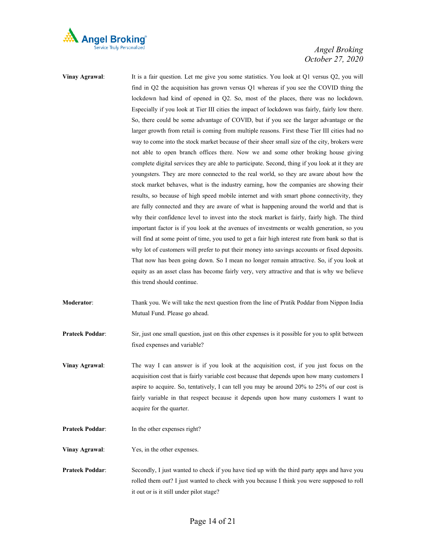

- **Vinay Agrawal:** It is a fair question. Let me give you some statistics. You look at Q1 versus Q2, you will find in Q2 the acquisition has grown versus Q1 whereas if you see the COVID thing the lockdown had kind of opened in Q2. So, most of the places, there was no lockdown. Especially if you look at Tier III cities the impact of lockdown was fairly, fairly low there. So, there could be some advantage of COVID, but if you see the larger advantage or the larger growth from retail is coming from multiple reasons. First these Tier III cities had no way to come into the stock market because of their sheer small size of the city, brokers were not able to open branch offices there. Now we and some other broking house giving complete digital services they are able to participate. Second, thing if you look at it they are youngsters. They are more connected to the real world, so they are aware about how the stock market behaves, what is the industry earning, how the companies are showing their results, so because of high speed mobile internet and with smart phone connectivity, they are fully connected and they are aware of what is happening around the world and that is why their confidence level to invest into the stock market is fairly, fairly high. The third important factor is if you look at the avenues of investments or wealth generation, so you will find at some point of time, you used to get a fair high interest rate from bank so that is why lot of customers will prefer to put their money into savings accounts or fixed deposits. That now has been going down. So I mean no longer remain attractive. So, if you look at equity as an asset class has become fairly very, very attractive and that is why we believe this trend should continue. **Moderator**: Thank you. We will take the next question from the line of Pratik Poddar from Nippon India Mutual Fund. Please go ahead.
- **Prateek Poddar:** Sir, just one small question, just on this other expenses is it possible for you to split between fixed expenses and variable?
- **Vinay Agrawal:** The way I can answer is if you look at the acquisition cost, if you just focus on the acquisition cost that is fairly variable cost because that depends upon how many customers I aspire to acquire. So, tentatively, I can tell you may be around 20% to 25% of our cost is fairly variable in that respect because it depends upon how many customers I want to acquire for the quarter.
- **Prateek Poddar:** In the other expenses right?
- **Vinay Agrawal**: Yes, in the other expenses.
- **Prateek Poddar:** Secondly, I just wanted to check if you have tied up with the third party apps and have you rolled them out? I just wanted to check with you because I think you were supposed to roll it out or is it still under pilot stage?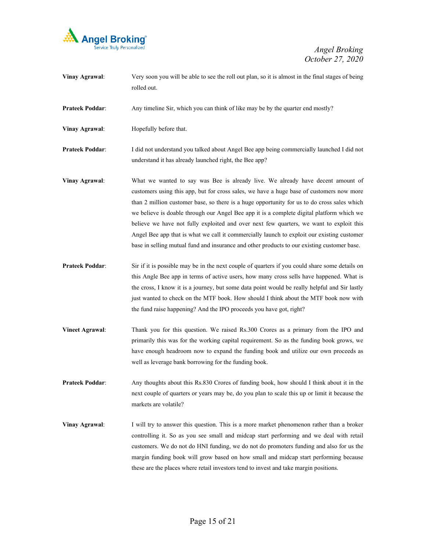

- **Vinay Agrawal:** Very soon you will be able to see the roll out plan, so it is almost in the final stages of being rolled out. **Prateek Poddar:** Any timeline Sir, which you can think of like may be by the quarter end mostly? **Vinay Agrawal**: Hopefully before that. **Prateek Poddar**: I did not understand you talked about Angel Bee app being commercially launched I did not understand it has already launched right, the Bee app? **Vinay Agrawal**: What we wanted to say was Bee is already live. We already have decent amount of customers using this app, but for cross sales, we have a huge base of customers now more than 2 million customer base, so there is a huge opportunity for us to do cross sales which we believe is doable through our Angel Bee app it is a complete digital platform which we believe we have not fully exploited and over next few quarters, we want to exploit this Angel Bee app that is what we call it commercially launch to exploit our existing customer base in selling mutual fund and insurance and other products to our existing customer base. **Prateek Poddar:** Sir if it is possible may be in the next couple of quarters if you could share some details on this Angle Bee app in terms of active users, how many cross sells have happened. What is the cross, I know it is a journey, but some data point would be really helpful and Sir lastly just wanted to check on the MTF book. How should I think about the MTF book now with the fund raise happening? And the IPO proceeds you have got, right? **Vineet Agrawal**: Thank you for this question. We raised Rs.300 Crores as a primary from the IPO and primarily this was for the working capital requirement. So as the funding book grows, we have enough headroom now to expand the funding book and utilize our own proceeds as well as leverage bank borrowing for the funding book. **Prateek Poddar:** Any thoughts about this Rs.830 Crores of funding book, how should I think about it in the next couple of quarters or years may be, do you plan to scale this up or limit it because the markets are volatile? **Vinay Agrawal:** I will try to answer this question. This is a more market phenomenon rather than a broker
	- controlling it. So as you see small and midcap start performing and we deal with retail customers. We do not do HNI funding, we do not do promoters funding and also for us the margin funding book will grow based on how small and midcap start performing because these are the places where retail investors tend to invest and take margin positions.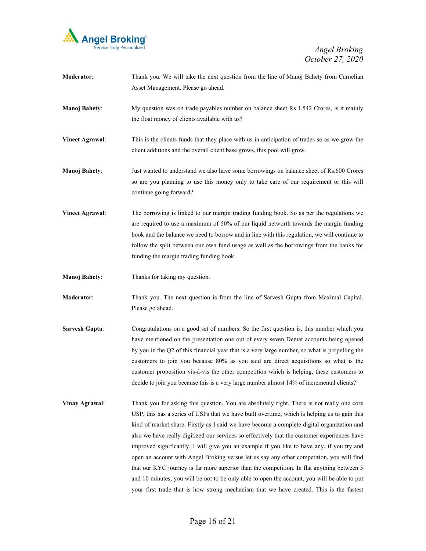

| Moderator:             | Thank you. We will take the next question from the line of Manoj Bahety from Carnelian<br>Asset Management. Please go ahead.                                                                                                                                                                                                                                                                                                                                                                                                                                                        |
|------------------------|-------------------------------------------------------------------------------------------------------------------------------------------------------------------------------------------------------------------------------------------------------------------------------------------------------------------------------------------------------------------------------------------------------------------------------------------------------------------------------------------------------------------------------------------------------------------------------------|
| <b>Manoj Bahety:</b>   | My question was on trade payables number on balance sheet Rs 1,542 Crores, is it mainly<br>the float money of clients available with us?                                                                                                                                                                                                                                                                                                                                                                                                                                            |
| <b>Vineet Agrawal:</b> | This is the clients funds that they place with us in anticipation of trades so as we grow the<br>client additions and the overall client base grows, this pool will grow.                                                                                                                                                                                                                                                                                                                                                                                                           |
| <b>Manoj Bahety:</b>   | Just wanted to understand we also have some borrowings on balance sheet of Rs.600 Crores<br>so are you planning to use this money only to take care of our requirement or this will<br>continue going forward?                                                                                                                                                                                                                                                                                                                                                                      |
| <b>Vineet Agrawal:</b> | The borrowing is linked to our margin trading funding book. So as per the regulations we<br>are required to use a maximum of 50% of our liquid networth towards the margin funding<br>book and the balance we need to borrow and in line with this regulation, we will continue to<br>follow the split between our own fund usage as well as the borrowings from the banks for<br>funding the margin trading funding book.                                                                                                                                                          |
| <b>Manoj Bahety:</b>   | Thanks for taking my question.                                                                                                                                                                                                                                                                                                                                                                                                                                                                                                                                                      |
| Moderator:             | Thank you. The next question is from the line of Sarvesh Gupta from Maximal Capital.<br>Please go ahead.                                                                                                                                                                                                                                                                                                                                                                                                                                                                            |
| <b>Sarvesh Gupta:</b>  | Congratulations on a good set of numbers. So the first question is, this number which you<br>have mentioned on the presentation one out of every seven Demat accounts being opened<br>by you in the Q2 of this financial year that is a very large number, so what is propelling the<br>customers to join you because 80% as you said are direct acquisitions so what is the<br>customer proposition vis-à-vis the other competition which is helping, these customers to<br>decide to join you because this is a very large number almost 14% of incremental clients?              |
| <b>Vinay Agrawal:</b>  | Thank you for asking this question. You are absolutely right. There is not really one core<br>USP, this has a series of USPs that we have built overtime, which is helping us to gain this<br>kind of market share. Firstly as I said we have become a complete digital organization and<br>also we have really digitized our services so effectively that the customer experiences have<br>improved significantly. I will give you an example if you like to have any, if you try and<br>open an account with Angel Broking versus let us say any other competition, you will find |

that our KYC journey is far more superior than the competition. In flat anything between 5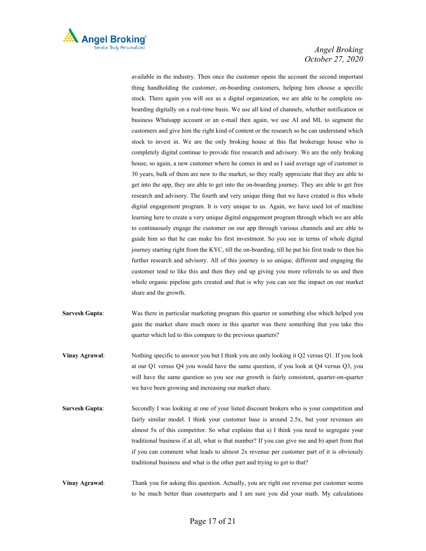

available in the industry. Then once the customer opens the account the second important thing handholding the customer, on-boarding customers, helping him choose a specific stock. There again you will see as a digital organization, we are able to be complete onboarding digitally on a real-time basis. We use all kind of channels, whether notification or business Whatsapp account or an e-mail then again, we use AI and ML to segment the customers and give him the right kind of content or the research so he can understand which stock to invest in. We are the only broking house at this flat brokerage house who is completely digital continue to provide free research and advisory. We are the only broking house, so again, a new customer where he comes in and as I said average age of customer is 30 years, bulk of them are new to the market, so they really appreciate that they are able to get into the app, they are able to get into the on-boarding journey. They are able to get free research and advisory. The fourth and very unique thing that we have created is this whole digital engagement program. It is very unique to us. Again, we have used lot of machine learning here to create a very unique digital engagement program through which we are able to continuously engage the customer on our app through various channels and are able to guide him so that he can make his first investment. So you see in terms of whole digital journey starting right from the KYC, till the on-boarding, till he put his first trade to then his further research and advisory. All of this journey is so unique, different and engaging the customer tend to like this and then they end up giving you more referrals to us and then whole organic pipeline gets created and that is why you can see the impact on our market share and the growth.

- **Sarvesh Gupta**: Was there in particular marketing program this quarter or something else which helped you gain the market share much more in this quarter was there something that you take this quarter which led to this compare to the previous quarters?
- **Vinay Agrawal:** Nothing specific to answer you but I think you are only looking it Q2 versus Q1. If you look at our Q1 versus Q4 you would have the same question, if you look at Q4 versus Q3, you will have the same question so you see our growth is fairly consistent, quarter-on-quarter we have been growing and increasing our market share.
- **Sarvesh Gupta:** Secondly I was looking at one of your listed discount brokers who is your competition and fairly similar model. I think your customer base is around 2.5x, but your revenues are almost 5x of this competitor. So what explains that a) I think you need to segregate your traditional business if at all, what is that number? If you can give me and b) apart from that if you can comment what leads to almost 2x revenue per customer part of it is obviously traditional business and what is the other part and trying to get to that?
- **Vinay Agrawal:** Thank you for asking this question. Actually, you are right our revenue per customer seems to be much better than counterparts and I am sure you did your math. My calculations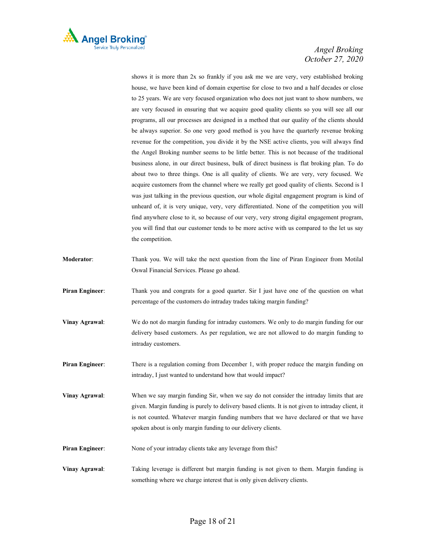

shows it is more than 2x so frankly if you ask me we are very, very established broking house, we have been kind of domain expertise for close to two and a half decades or close to 25 years. We are very focused organization who does not just want to show numbers, we are very focused in ensuring that we acquire good quality clients so you will see all our programs, all our processes are designed in a method that our quality of the clients should be always superior. So one very good method is you have the quarterly revenue broking revenue for the competition, you divide it by the NSE active clients, you will always find the Angel Broking number seems to be little better. This is not because of the traditional business alone, in our direct business, bulk of direct business is flat broking plan. To do about two to three things. One is all quality of clients. We are very, very focused. We acquire customers from the channel where we really get good quality of clients. Second is I was just talking in the previous question, our whole digital engagement program is kind of unheard of, it is very unique, very, very differentiated. None of the competition you will find anywhere close to it, so because of our very, very strong digital engagement program, you will find that our customer tends to be more active with us compared to the let us say the competition.

- **Moderator**: Thank you. We will take the next question from the line of Piran Engineer from Motilal Oswal Financial Services. Please go ahead.
- **Piran Engineer:** Thank you and congrats for a good quarter. Sir I just have one of the question on what percentage of the customers do intraday trades taking margin funding?
- **Vinay Agrawal**: We do not do margin funding for intraday customers. We only to do margin funding for our delivery based customers. As per regulation, we are not allowed to do margin funding to intraday customers.
- **Piran Engineer:** There is a regulation coming from December 1, with proper reduce the margin funding on intraday, I just wanted to understand how that would impact?
- **Vinay Agrawal:** When we say margin funding Sir, when we say do not consider the intraday limits that are given. Margin funding is purely to delivery based clients. It is not given to intraday client, it is not counted. Whatever margin funding numbers that we have declared or that we have spoken about is only margin funding to our delivery clients.
- **Piran Engineer:** None of your intraday clients take any leverage from this?
- **Vinay Agrawal**: Taking leverage is different but margin funding is not given to them. Margin funding is something where we charge interest that is only given delivery clients.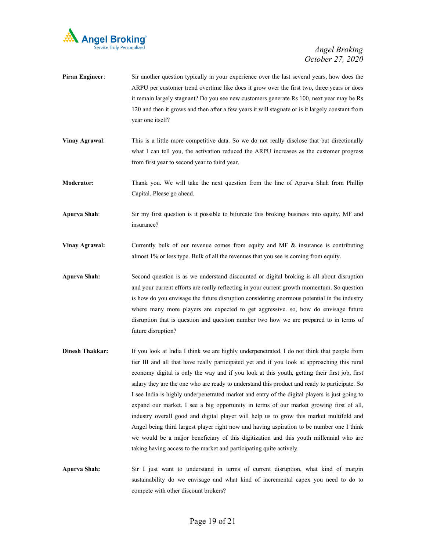

| <b>Piran Engineer:</b> | Sir another question typically in your experience over the last several years, how does the      |
|------------------------|--------------------------------------------------------------------------------------------------|
|                        | ARPU per customer trend overtime like does it grow over the first two, three years or does       |
|                        | it remain largely stagnant? Do you see new customers generate Rs 100, next year may be Rs        |
|                        | 120 and then it grows and then after a few years it will stagnate or is it largely constant from |
|                        | year one itself?                                                                                 |
| Vinay Agrawal:         | This is a little more competitive data. So we do not really disclose that but directionally      |

- what I can tell you, the activation reduced the ARPU increases as the customer progress from first year to second year to third year.
- **Moderator:** Thank you. We will take the next question from the line of Apurva Shah from Phillip Capital. Please go ahead.
- **Apurva Shah**: Sir my first question is it possible to bifurcate this broking business into equity, MF and insurance?
- **Vinay Agrawal:** Currently bulk of our revenue comes from equity and MF & insurance is contributing almost 1% or less type. Bulk of all the revenues that you see is coming from equity.
- **Apurva Shah:** Second question is as we understand discounted or digital broking is all about disruption and your current efforts are really reflecting in your current growth momentum. So question is how do you envisage the future disruption considering enormous potential in the industry where many more players are expected to get aggressive. so, how do envisage future disruption that is question and question number two how we are prepared to in terms of future disruption?
- **Dinesh Thakkar:** If you look at India I think we are highly underpenetrated. I do not think that people from tier III and all that have really participated yet and if you look at approaching this rural economy digital is only the way and if you look at this youth, getting their first job, first salary they are the one who are ready to understand this product and ready to participate. So I see India is highly underpenetrated market and entry of the digital players is just going to expand our market. I see a big opportunity in terms of our market growing first of all, industry overall good and digital player will help us to grow this market multifold and Angel being third largest player right now and having aspiration to be number one I think we would be a major beneficiary of this digitization and this youth millennial who are taking having access to the market and participating quite actively.
- **Apurva Shah:** Sir I just want to understand in terms of current disruption, what kind of margin sustainability do we envisage and what kind of incremental capex you need to do to compete with other discount brokers?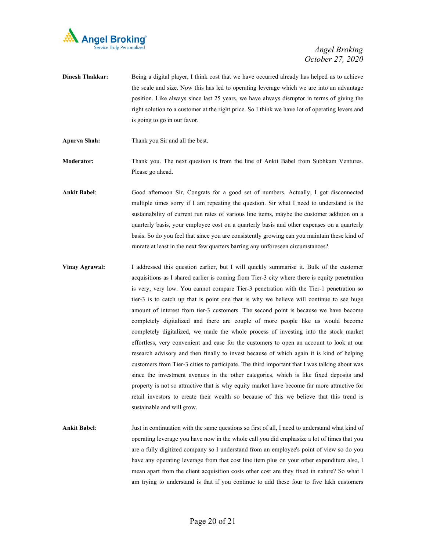

- **Dinesh Thakkar:** Being a digital player, I think cost that we have occurred already has helped us to achieve the scale and size. Now this has led to operating leverage which we are into an advantage position. Like always since last 25 years, we have always disruptor in terms of giving the right solution to a customer at the right price. So I think we have lot of operating levers and is going to go in our favor.
- **Apurva Shah:** Thank you Sir and all the best.

**Moderator:** Thank you. The next question is from the line of Ankit Babel from Subhkam Ventures. Please go ahead.

**Ankit Babel**: Good afternoon Sir. Congrats for a good set of numbers. Actually, I got disconnected multiple times sorry if I am repeating the question. Sir what I need to understand is the sustainability of current run rates of various line items, maybe the customer addition on a quarterly basis, your employee cost on a quarterly basis and other expenses on a quarterly basis. So do you feel that since you are consistently growing can you maintain these kind of runrate at least in the next few quarters barring any unforeseen circumstances?

- **Vinay Agrawal:** I addressed this question earlier, but I will quickly summarise it. Bulk of the customer acquisitions as I shared earlier is coming from Tier-3 city where there is equity penetration is very, very low. You cannot compare Tier-3 penetration with the Tier-1 penetration so tier-3 is to catch up that is point one that is why we believe will continue to see huge amount of interest from tier-3 customers. The second point is because we have become completely digitalized and there are couple of more people like us would become completely digitalized, we made the whole process of investing into the stock market effortless, very convenient and ease for the customers to open an account to look at our research advisory and then finally to invest because of which again it is kind of helping customers from Tier-3 cities to participate. The third important that I was talking about was since the investment avenues in the other categories, which is like fixed deposits and property is not so attractive that is why equity market have become far more attractive for retail investors to create their wealth so because of this we believe that this trend is sustainable and will grow.
- **Ankit Babel**: Just in continuation with the same questions so first of all, I need to understand what kind of operating leverage you have now in the whole call you did emphasize a lot of times that you are a fully digitized company so I understand from an employee's point of view so do you have any operating leverage from that cost line item plus on your other expenditure also, I mean apart from the client acquisition costs other cost are they fixed in nature? So what I am trying to understand is that if you continue to add these four to five lakh customers